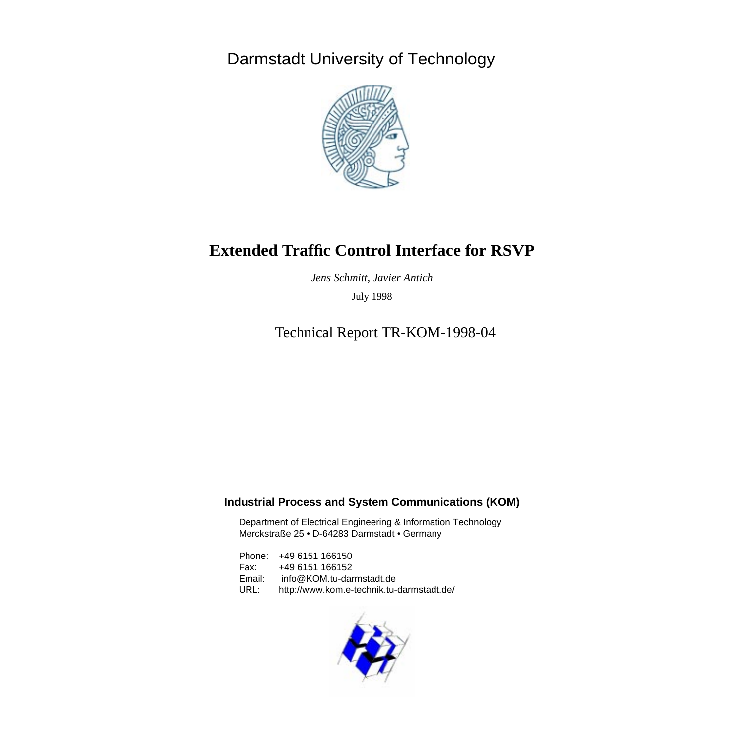<span id="page-0-0"></span>Darmstadt University of Technology



# **Extended Traffic Control Interface for RSVP**

*Jens Schmitt, Javier Antich* July 1998

Technical Report TR-KOM-1998-04

### **Industrial Process and System Communications (KOM)**

Department of Electrical Engineering & Information Technology Merckstraße 25 • D-64283 Darmstadt • Germany

Phone: +49 6151 166150 Fax: +49 6151 166152 Email: info@KOM.tu-darmstadt.de URL: http://www.kom.e-technik.tu-darmstadt.de/

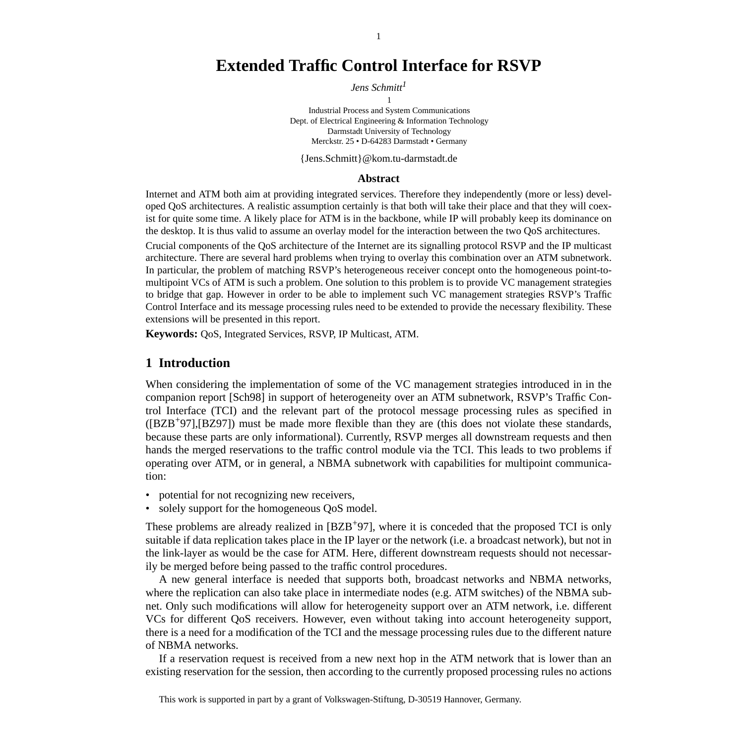# **[Extended Traffic Control Interface for RSVP](#page-0-0)**

*Jens Schmitt<sup>1</sup>*

1 Industrial Process and System Communications Dept. of Electrical Engineering & Information Technology Darmstadt University of Technology

Merckstr. 25 • D-64283 Darmstadt • Germany

{Jens.Schmitt}@kom.tu-darmstadt.de

#### **Abstract**

Internet and ATM both aim at providing integrated services. Therefore they independently (more or less) developed QoS architectures. A realistic assumption certainly is that both will take their place and that they will coexist for quite some time. A likely place for ATM is in the backbone, while IP will probably keep its dominance on the desktop. It is thus valid to assume an overlay model for the interaction between the two QoS architectures.

Crucial components of the QoS architecture of the Internet are its signalling protocol RSVP and the IP multicast architecture. There are several hard problems when trying to overlay this combination over an ATM subnetwork. In particular, the problem of matching RSVP's heterogeneous receiver concept onto the homogeneous point-tomultipoint VCs of ATM is such a problem. One solution to this problem is to provide VC management strategies to bridge that gap. However in order to be able to implement such VC management strategies RSVP's Traffic Control Interface and its message processing rules need to be extended to provide the necessary flexibility. These extensions will be presented in this report.

**Keywords:** QoS, Integrated Services, RSVP, IP Multicast, ATM.

### **1 Introduction**

When considering the implementation of some of the VC management strategies introduced in in the companion report [Sch98] in support of heterogeneity over an ATM subnetwork, RSVP's Traffic Control Interface (TCI) and the relevant part of the protocol message processing rules as specified in  $([BZB<sup>+</sup>97],[BZ97])$  must be made more flexible than they are (this does not violate these standards, because these parts are only informational). Currently, RSVP merges all downstream requests and then hands the merged reservations to the traffic control module via the TCI. This leads to two problems if operating over ATM, or in general, a NBMA subnetwork with capabilities for multipoint communication:

- potential for not recognizing new receivers,
- solely support for the homogeneous QoS model.

These problems are already realized in [BZB<sup>+</sup>97], where it is conceded that the proposed TCI is only suitable if data replication takes place in the IP layer or the network (i.e. a broadcast network), but not in the link-layer as would be the case for ATM. Here, different downstream requests should not necessarily be merged before being passed to the traffic control procedures.

A new general interface is needed that supports both, broadcast networks and NBMA networks, where the replication can also take place in intermediate nodes (e.g. ATM switches) of the NBMA subnet. Only such modifications will allow for heterogeneity support over an ATM network, i.e. different VCs for different QoS receivers. However, even without taking into account heterogeneity support, there is a need for a modification of the TCI and the message processing rules due to the different nature of NBMA networks.

If a reservation request is received from a new next hop in the ATM network that is lower than an existing reservation for the session, then according to the currently proposed processing rules no actions

This work is supported in part by a grant of Volkswagen-Stiftung, D-30519 Hannover, Germany.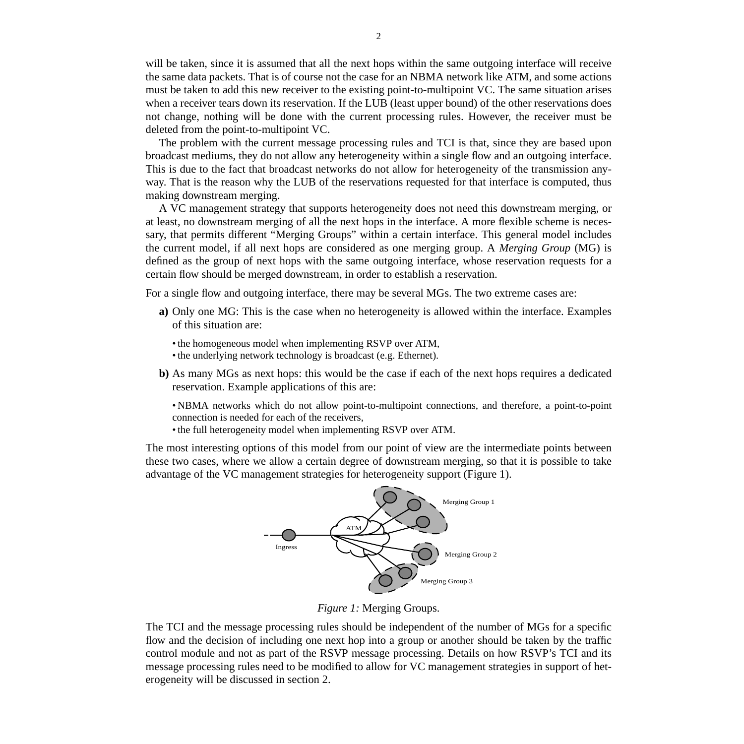will be taken, since it is assumed that all the next hops within the same outgoing interface will receive the same data packets. That is of course not the case for an NBMA network like ATM, and some actions must be taken to add this new receiver to the existing point-to-multipoint VC. The same situation arises when a receiver tears down its reservation. If the LUB (least upper bound) of the other reservations does not change, nothing will be done with the current processing rules. However, the receiver must be deleted from the point-to-multipoint VC.

The problem with the current message processing rules and TCI is that, since they are based upon broadcast mediums, they do not allow any heterogeneity within a single flow and an outgoing interface. This is due to the fact that broadcast networks do not allow for heterogeneity of the transmission anyway. That is the reason why the LUB of the reservations requested for that interface is computed, thus making downstream merging.

A VC management strategy that supports heterogeneity does not need this downstream merging, or at least, no downstream merging of all the next hops in the interface. A more flexible scheme is necessary, that permits different "Merging Groups" within a certain interface. This general model includes the current model, if all next hops are considered as one merging group. A *Merging Group* (MG) is defined as the group of next hops with the same outgoing interface, whose reservation requests for a certain flow should be merged downstream, in order to establish a reservation.

For a single flow and outgoing interface, there may be several MGs. The two extreme cases are:

- **a)** Only one MG: This is the case when no heterogeneity is allowed within the interface. Examples of this situation are:
	- the homogeneous model when implementing RSVP over ATM,
	- the underlying network technology is broadcast (e.g. Ethernet).
- **b)** As many MGs as next hops: this would be the case if each of the next hops requires a dedicated reservation. Example applications of this are:

• NBMA networks which do not allow point-to-multipoint connections, and therefore, a point-to-point connection is needed for each of the receivers,

• the full heterogeneity model when implementing RSVP over ATM.

The most interesting options of this model from our point of view are the intermediate points between these two cases, where we allow a certain degree of downstream merging, so that it is possible to take advantage of the VC management strategies for heterogeneity support (Figure 1).



*Figure 1:* Merging Groups.

The TCI and the message processing rules should be independent of the number of MGs for a specific flow and the decision of including one next hop into a group or another should be taken by the traffic control module and not as part of the RSVP message processing. Details on how RSVP's TCI and its message processing rules need to be modified to allow for VC management strategies in support of heterogeneity will be discussed in s[ection 2.](#page-3-0)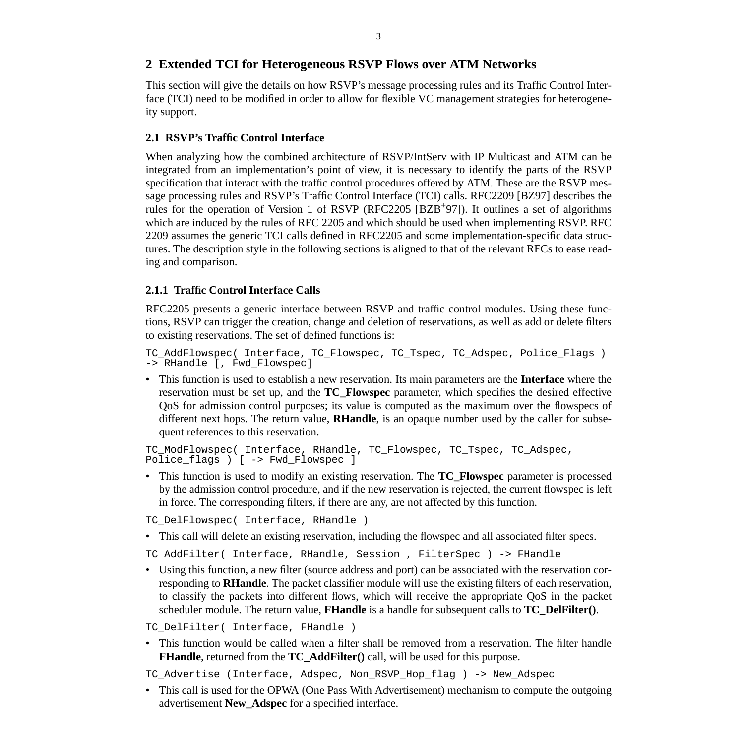## <span id="page-3-0"></span>**2 Extended TCI for Heterogeneous RSVP Flows over ATM Networks**

This section will give the details on how RSVP's message processing rules and its Traffic Control Interface (TCI) need to be modified in order to allow for flexible VC management strategies for heterogeneity support.

## **2.1 RSVP's Traffic Control Interface**

When analyzing how the combined architecture of RSVP/IntServ with IP Multicast and ATM can be integrated from an implementation's point of view, it is necessary to identify the parts of the RSVP specification that interact with the traffic control procedures offered by ATM. These are the RSVP message processing rules and RSVP's Traffic Control Interface (TCI) calls. RFC2209 [BZ97] describes the rules for the operation of Version 1 of RSVP (RFC2205 [BZB<sup>+</sup>97]). It outlines a set of algorithms which are induced by the rules of RFC 2205 and which should be used when implementing RSVP. RFC 2209 assumes the generic TCI calls defined in RFC2205 and some implementation-specific data structures. The description style in the following sections is aligned to that of the relevant RFCs to ease reading and comparison.

## **2.1.1 Traffic Control Interface Calls**

RFC2205 presents a generic interface between RSVP and traffic control modules. Using these functions, RSVP can trigger the creation, change and deletion of reservations, as well as add or delete filters to existing reservations. The set of defined functions is:

```
TC AddFlowspec( Interface, TC_Flowspec, TC_Tspec, TC_Adspec, Police_Flags )
-> RHandle [, Fwd_Flowspec]
```
• This function is used to establish a new reservation. Its main parameters are the **Interface** where the reservation must be set up, and the **TC\_Flowspec** parameter, which specifies the desired effective QoS for admission control purposes; its value is computed as the maximum over the flowspecs of different next hops. The return value, **RHandle**, is an opaque number used by the caller for subsequent references to this reservation.

```
TC_ModFlowspec( Interface, RHandle, TC_Flowspec, TC_Tspec, TC_Adspec,
Police_flags ) [ -> Fwd_Flowspec ]
```
• This function is used to modify an existing reservation. The **TC\_Flowspec** parameter is processed by the admission control procedure, and if the new reservation is rejected, the current flowspec is left in force. The corresponding filters, if there are any, are not affected by this function.

TC DelFlowspec( Interface, RHandle )

• This call will delete an existing reservation, including the flowspec and all associated filter specs.

TC\_AddFilter( Interface, RHandle, Session , FilterSpec ) -> FHandle

• Using this function, a new filter (source address and port) can be associated with the reservation corresponding to **RHandle**. The packet classifier module will use the existing filters of each reservation, to classify the packets into different flows, which will receive the appropriate QoS in the packet scheduler module. The return value, **FHandle** is a handle for subsequent calls to **TC\_DelFilter()**.

```
TC DelFilter( Interface, FHandle )
```
• This function would be called when a filter shall be removed from a reservation. The filter handle **FHandle**, returned from the **TC AddFilter**() call, will be used for this purpose.

TC Advertise (Interface, Adspec, Non\_RSVP\_Hop\_flag ) -> New\_Adspec

• This call is used for the OPWA (One Pass With Advertisement) mechanism to compute the outgoing advertisement **New\_Adspec** for a specified interface.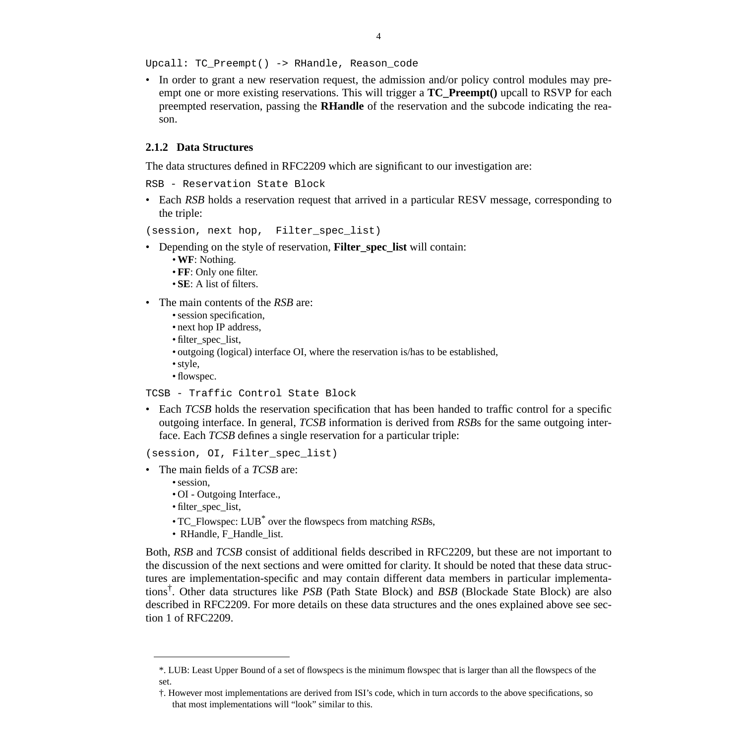Upcall: TC\_Preempt() -> RHandle, Reason\_code

• In order to grant a new reservation request, the admission and/or policy control modules may preempt one or more existing reservations. This will trigger a **TC\_Preempt()** upcall to RSVP for each preempted reservation, passing the **RHandle** of the reservation and the subcode indicating the reason.

#### **2.1.2 Data Structures**

The data structures defined in RFC2209 which are significant to our investigation are:

RSB - Reservation State Block

• Each *RSB* holds a reservation request that arrived in a particular RESV message, corresponding to the triple:

(session, next hop, Filter\_spec\_list)

- Depending on the style of reservation, **Filter\_spec\_list** will contain:
	- •**WF**: Nothing.
	- **FF**: Only one filter.
	- **SE**: A list of filters.
- The main contents of the *RSB* are:
	- session specification,
	- next hop IP address,
	- filter spec list,
	- outgoing (logical) interface OI, where the reservation is/has to be established,
	- style,
	- flowspec.

```
TCSB - Traffic Control State Block
```
• Each *TCSB* holds the reservation specification that has been handed to traffic control for a specific outgoing interface. In general, *TCSB* information is derived from *RSB*s for the same outgoing interface. Each *TCSB* defines a single reservation for a particular triple:

```
(session, OI, Filter_spec_list)
```
- The main fields of a *TCSB* are:
	- session,
	- OI Outgoing Interface.,
	- filter\_spec\_list,
	- TC\_Flowspec: LUB\* over the flowspecs from matching *RSB*s,
	- RHandle, F\_Handle\_list.

Both, *RSB* and *TCSB* consist of additional fields described in RFC2209, but these are not important to the discussion of the next sections and were omitted for clarity. It should be noted that these data structures are implementation-specific and may contain different data members in particular implementations† . Other data structures like *PSB* (Path State Block) and *BSB* (Blockade State Block) are also described in RFC2209. For more details on these data structures and the ones explained above see section 1 of RFC2209.

<sup>\*.</sup> LUB: Least Upper Bound of a set of flowspecs is the minimum flowspec that is larger than all the flowspecs of the set.

<sup>†.</sup> However most implementations are derived from ISI's code, which in turn accords to the above specifications, so that most implementations will "look" similar to this.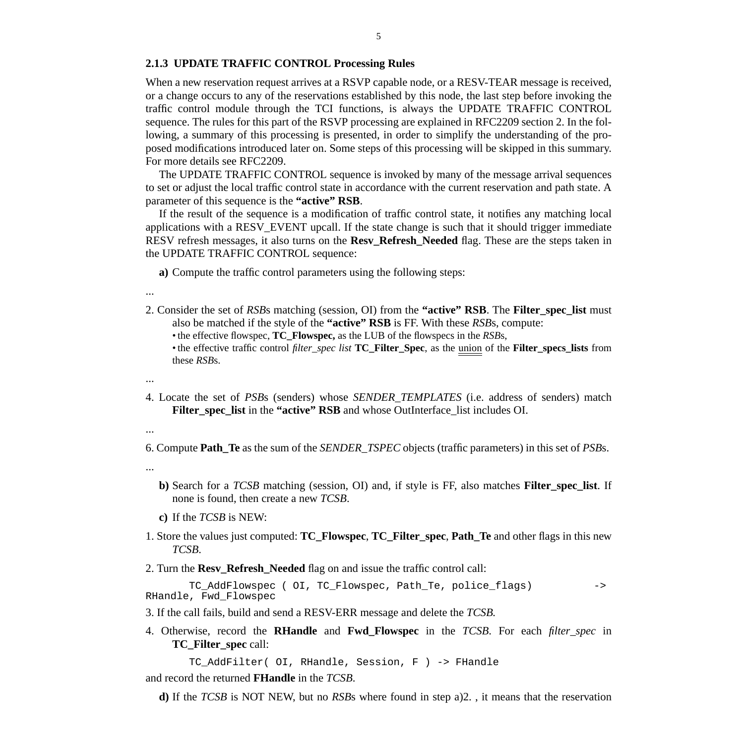#### **2.1.3 UPDATE TRAFFIC CONTROL Processing Rules**

When a new reservation request arrives at a RSVP capable node, or a RESV-TEAR message is received, or a change occurs to any of the reservations established by this node, the last step before invoking the traffic control module through the TCI functions, is always the UPDATE TRAFFIC CONTROL sequence. The rules for this part of the RSVP processing are explained in RFC2209 section 2. In the following, a summary of this processing is presented, in order to simplify the understanding of the proposed modifications introduced later on. Some steps of this processing will be skipped in this summary. For more details see RFC2209.

The UPDATE TRAFFIC CONTROL sequence is invoked by many of the message arrival sequences to set or adjust the local traffic control state in accordance with the current reservation and path state. A parameter of this sequence is the **"active" RSB**.

If the result of the sequence is a modification of traffic control state, it notifies any matching local applications with a RESV\_EVENT upcall. If the state change is such that it should trigger immediate RESV refresh messages, it also turns on the **Resv\_Refresh\_Needed** flag. These are the steps taken in the UPDATE TRAFFIC CONTROL sequence:

**a)** Compute the traffic control parameters using the following steps:

- ...
- 2. Consider the set of *RSB*s matching (session, OI) from the **"active" RSB**. The **Filter\_spec\_list** must also be matched if the style of the **"active" RSB** is FF. With these *RSB*s, compute:
	- the effective flowspec, **TC\_Flowspec,** as the LUB of the flowspecs in the *RSB*s,
	- the effective traffic control *filter\_spec list* **TC\_Filter\_Spec**, as the union of the **Filter\_specs\_lists** from these *RSB*s.
- ...
- 4. Locate the set of *PSB*s (senders) whose *SENDER\_TEMPLATES* (i.e. address of senders) match **Filter\_spec\_list** in the **"active" RSB** and whose OutInterface\_list includes OI.
- ...

6. Compute **Path\_Te** as the sum of the *SENDER\_TSPEC* objects (traffic parameters) in this set of *PSB*s.

- ...
- **b)** Search for a *TCSB* matching (session, OI) and, if style is FF, also matches **Filter\_spec\_list**. If none is found, then create a new *TCSB*.
- **c)** If the *TCSB* is NEW:
- 1. Store the values just computed: **TC\_Flowspec**, **TC\_Filter\_spec**, **Path\_Te** and other flags in this new *TCSB*.
- 2. Turn the **Resv\_Refresh\_Needed** flag on and issue the traffic control call:

TC\_AddFlowspec ( OI, TC\_Flowspec, Path\_Te, police\_flags) -> RHandle, Fwd\_Flowspec

- 3. If the call fails, build and send a RESV-ERR message and delete the *TCSB.*
- 4. Otherwise, record the **RHandle** and **Fwd\_Flowspec** in the *TCSB*. For each *filter\_spec* in **TC\_Filter\_spec** call:

TC\_AddFilter( OI, RHandle, Session, F ) -> FHandle

and record the returned **FHandle** in the *TCSB*.

**d)** If the *TCSB* is NOT NEW, but no *RSB*s where found in step a)2. , it means that the reservation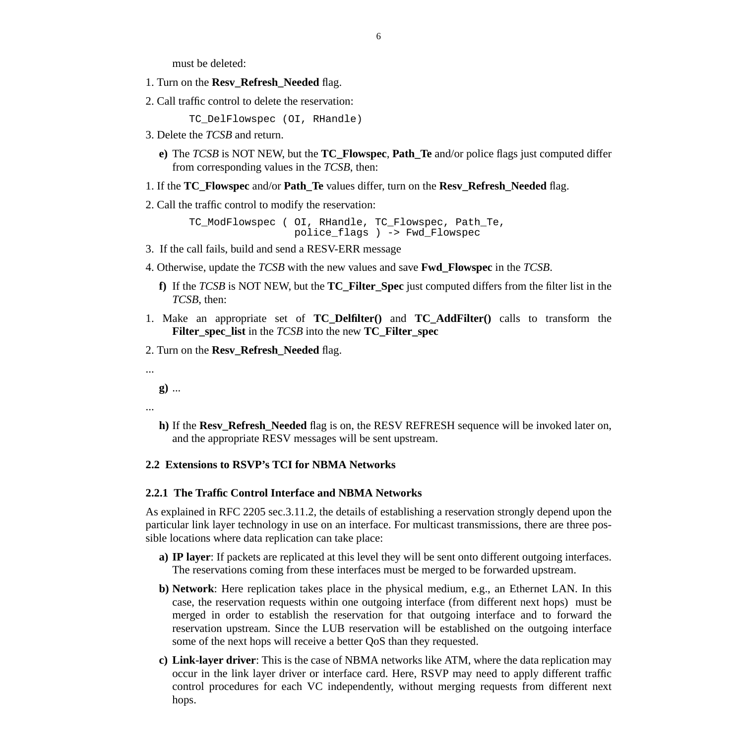must be deleted:

- 1. Turn on the **Resv\_Refresh\_Needed** flag.
- 2. Call traffic control to delete the reservation:

TC\_DelFlowspec (OI, RHandle)

- 3. Delete the *TCSB* and return.
	- **e)** The *TCSB* is NOT NEW, but the **TC\_Flowspec**, **Path\_Te** and/or police flags just computed differ from corresponding values in the *TCSB*, then:
- 1. If the **TC\_Flowspec** and/or **Path\_Te** values differ, turn on the **Resv\_Refresh\_Needed** flag.
- 2. Call the traffic control to modify the reservation:

TC\_ModFlowspec ( OI, RHandle, TC\_Flowspec, Path\_Te, police\_flags ) -> Fwd\_Flowspec

- 3. If the call fails, build and send a RESV-ERR message
- 4. Otherwise, update the *TCSB* with the new values and save **Fwd\_Flowspec** in the *TCSB*.
	- **f)** If the *TCSB* is NOT NEW, but the **TC\_Filter\_Spec** just computed differs from the filter list in the *TCSB*, then:
- 1. Make an appropriate set of **TC\_Delfilter()** and **TC\_AddFilter()** calls to transform the **Filter\_spec\_list** in the *TCSB* into the new **TC\_Filter\_spec**
- 2. Turn on the **Resv\_Refresh\_Needed** flag.

...

**g)** ...

...

**h)** If the **Resv\_Refresh\_Needed** flag is on, the RESV REFRESH sequence will be invoked later on, and the appropriate RESV messages will be sent upstream.

### **2.2 Extensions to RSVP's TCI for NBMA Networks**

#### **2.2.1 The Traffic Control Interface and NBMA Networks**

As explained in RFC 2205 sec.3.11.2, the details of establishing a reservation strongly depend upon the particular link layer technology in use on an interface. For multicast transmissions, there are three possible locations where data replication can take place:

- **a) IP layer**: If packets are replicated at this level they will be sent onto different outgoing interfaces. The reservations coming from these interfaces must be merged to be forwarded upstream.
- **b) Network**: Here replication takes place in the physical medium, e.g., an Ethernet LAN. In this case, the reservation requests within one outgoing interface (from different next hops) must be merged in order to establish the reservation for that outgoing interface and to forward the reservation upstream. Since the LUB reservation will be established on the outgoing interface some of the next hops will receive a better QoS than they requested.
- **c) Link-layer driver**: This is the case of NBMA networks like ATM, where the data replication may occur in the link layer driver or interface card. Here, RSVP may need to apply different traffic control procedures for each VC independently, without merging requests from different next hops.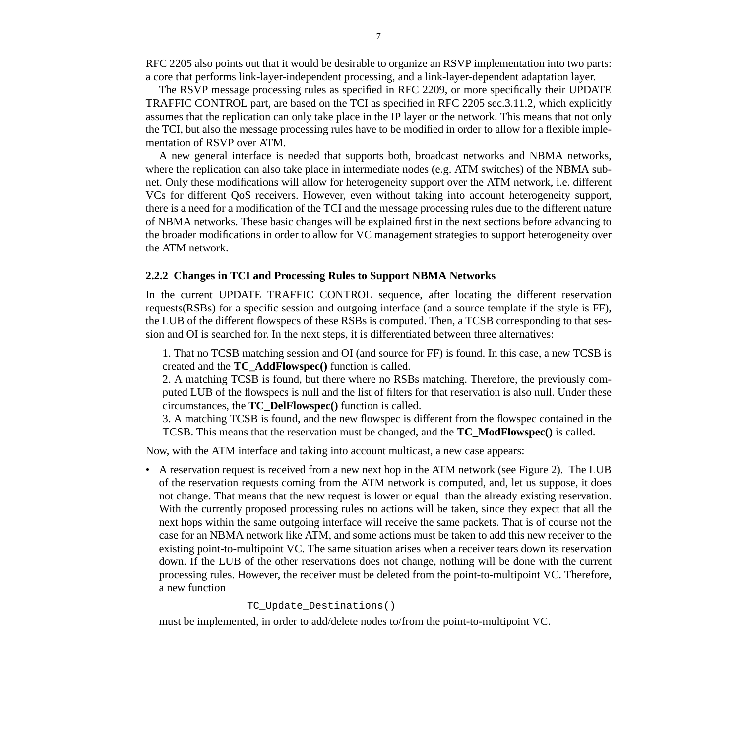RFC 2205 also points out that it would be desirable to organize an RSVP implementation into two parts: a core that performs link-layer-independent processing, and a link-layer-dependent adaptation layer.

The RSVP message processing rules as specified in RFC 2209, or more specifically their UPDATE TRAFFIC CONTROL part, are based on the TCI as specified in RFC 2205 sec.3.11.2, which explicitly assumes that the replication can only take place in the IP layer or the network. This means that not only the TCI, but also the message processing rules have to be modified in order to allow for a flexible implementation of RSVP over ATM.

A new general interface is needed that supports both, broadcast networks and NBMA networks, where the replication can also take place in intermediate nodes (e.g. ATM switches) of the NBMA subnet. Only these modifications will allow for heterogeneity support over the ATM network, i.e. different VCs for different QoS receivers. However, even without taking into account heterogeneity support, there is a need for a modification of the TCI and the message processing rules due to the different nature of NBMA networks. These basic changes will be explained first in the next sections before advancing to the broader modifications in order to allow for VC management strategies to support heterogeneity over the ATM network.

#### **2.2.2 Changes in TCI and Processing Rules to Support NBMA Networks**

In the current UPDATE TRAFFIC CONTROL sequence, after locating the different reservation requests(RSBs) for a specific session and outgoing interface (and a source template if the style is FF), the LUB of the different flowspecs of these RSBs is computed. Then, a TCSB corresponding to that session and OI is searched for. In the next steps, it is differentiated between three alternatives:

1. That no TCSB matching session and OI (and source for FF) is found. In this case, a new TCSB is created and the **TC\_AddFlowspec()** function is called.

2. A matching TCSB is found, but there where no RSBs matching. Therefore, the previously computed LUB of the flowspecs is null and the list of filters for that reservation is also null. Under these circumstances, the **TC\_DelFlowspec()** function is called.

3. A matching TCSB is found, and the new flowspec is different from the flowspec contained in the TCSB. This means that the reservation must be changed, and the **TC\_ModFlowspec()** is called.

Now, with the ATM interface and taking into account multicast, a new case appears:

• A reservation request is received from a new next hop in the ATM network (see [Figure 2\)](#page-8-0). The LUB of the reservation requests coming from the ATM network is computed, and, let us suppose, it does not change. That means that the new request is lower or equal than the already existing reservation. With the currently proposed processing rules no actions will be taken, since they expect that all the next hops within the same outgoing interface will receive the same packets. That is of course not the case for an NBMA network like ATM, and some actions must be taken to add this new receiver to the existing point-to-multipoint VC. The same situation arises when a receiver tears down its reservation down. If the LUB of the other reservations does not change, nothing will be done with the current processing rules. However, the receiver must be deleted from the point-to-multipoint VC. Therefore, a new function

```
TC Update Destinations()
```
must be implemented, in order to add/delete nodes to/from the point-to-multipoint VC.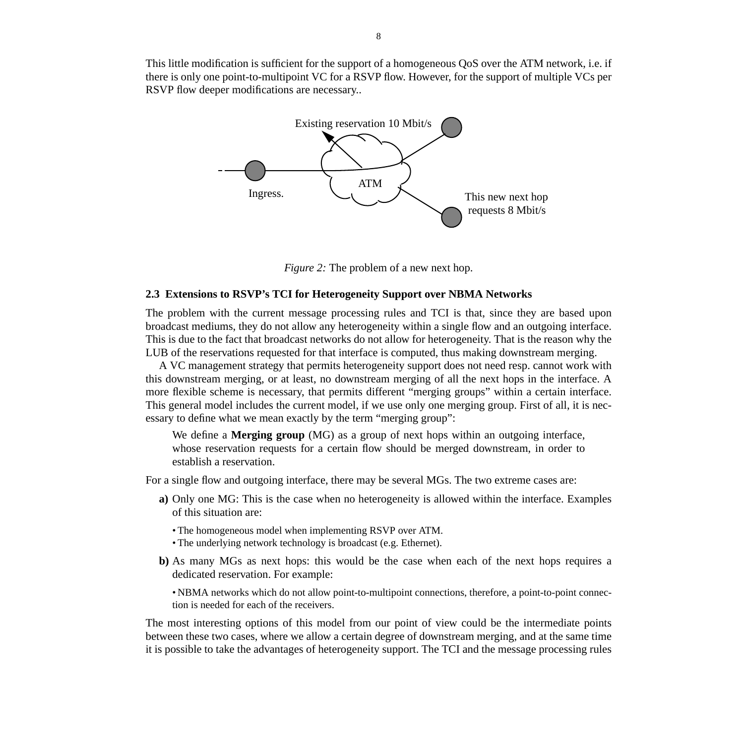<span id="page-8-0"></span>This little modification is sufficient for the support of a homogeneous QoS over the ATM network, i.e. if there is only one point-to-multipoint VC for a RSVP flow. However, for the support of multiple VCs per RSVP flow deeper modifications are necessary..



*Figure 2:* The problem of a new next hop.

#### **2.3 Extensions to RSVP's TCI for Heterogeneity Support over NBMA Networks**

The problem with the current message processing rules and TCI is that, since they are based upon broadcast mediums, they do not allow any heterogeneity within a single flow and an outgoing interface. This is due to the fact that broadcast networks do not allow for heterogeneity. That is the reason why the LUB of the reservations requested for that interface is computed, thus making downstream merging.

A VC management strategy that permits heterogeneity support does not need resp. cannot work with this downstream merging, or at least, no downstream merging of all the next hops in the interface. A more flexible scheme is necessary, that permits different "merging groups" within a certain interface. This general model includes the current model, if we use only one merging group. First of all, it is necessary to define what we mean exactly by the term "merging group":

We define a **Merging group** (MG) as a group of next hops within an outgoing interface, whose reservation requests for a certain flow should be merged downstream, in order to establish a reservation.

For a single flow and outgoing interface, there may be several MGs. The two extreme cases are:

- **a)** Only one MG: This is the case when no heterogeneity is allowed within the interface. Examples of this situation are:
	- The homogeneous model when implementing RSVP over ATM.
	- The underlying network technology is broadcast (e.g. Ethernet).
- **b)** As many MGs as next hops: this would be the case when each of the next hops requires a dedicated reservation. For example:

• NBMA networks which do not allow point-to-multipoint connections, therefore, a point-to-point connection is needed for each of the receivers.

The most interesting options of this model from our point of view could be the intermediate points between these two cases, where we allow a certain degree of downstream merging, and at the same time it is possible to take the advantages of heterogeneity support. The TCI and the message processing rules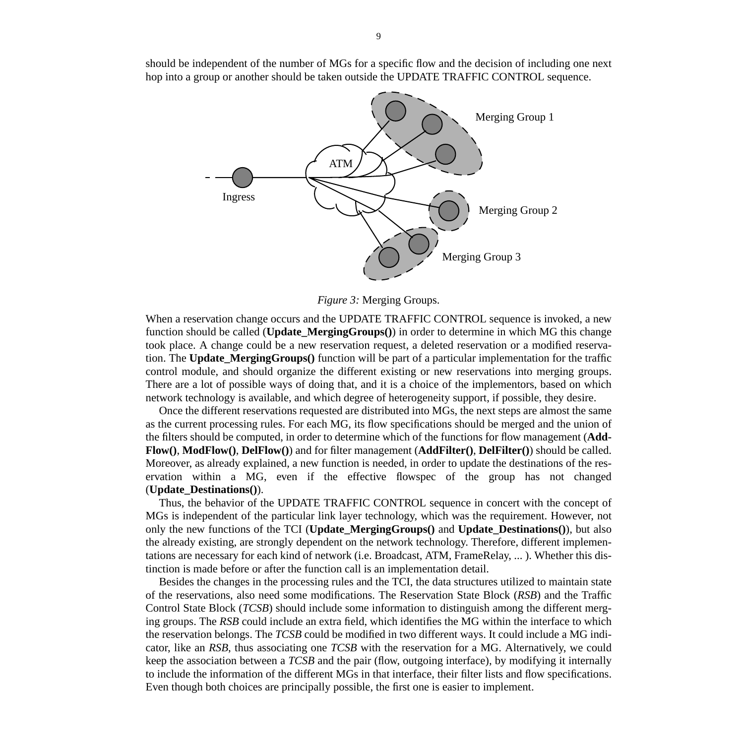should be independent of the number of MGs for a specific flow and the decision of including one next hop into a group or another should be taken outside the UPDATE TRAFFIC CONTROL sequence.



*Figure 3:* Merging Groups.

When a reservation change occurs and the UPDATE TRAFFIC CONTROL sequence is invoked, a new function should be called (**Update\_MergingGroups()**) in order to determine in which MG this change took place. A change could be a new reservation request, a deleted reservation or a modified reservation. The **Update\_MergingGroups()** function will be part of a particular implementation for the traffic control module, and should organize the different existing or new reservations into merging groups. There are a lot of possible ways of doing that, and it is a choice of the implementors, based on which network technology is available, and which degree of heterogeneity support, if possible, they desire.

Once the different reservations requested are distributed into MGs, the next steps are almost the same as the current processing rules. For each MG, its flow specifications should be merged and the union of the filters should be computed, in order to determine which of the functions for flow management (**Add-Flow()**, **ModFlow()**, **DelFlow()**) and for filter management (**AddFilter()**, **DelFilter()**) should be called. Moreover, as already explained, a new function is needed, in order to update the destinations of the reservation within a MG, even if the effective flowspec of the group has not changed (**Update\_Destinations()**).

Thus, the behavior of the UPDATE TRAFFIC CONTROL sequence in concert with the concept of MGs is independent of the particular link layer technology, which was the requirement. However, not only the new functions of the TCI (**Update\_MergingGroups()** and **Update\_Destinations()**), but also the already existing, are strongly dependent on the network technology. Therefore, different implementations are necessary for each kind of network (i.e. Broadcast, ATM, FrameRelay, ... ). Whether this distinction is made before or after the function call is an implementation detail.

Besides the changes in the processing rules and the TCI, the data structures utilized to maintain state of the reservations, also need some modifications. The Reservation State Block (*RSB*) and the Traffic Control State Block (*TCSB*) should include some information to distinguish among the different merging groups. The *RSB* could include an extra field, which identifies the MG within the interface to which the reservation belongs. The *TCSB* could be modified in two different ways. It could include a MG indicator, like an *RSB*, thus associating one *TCSB* with the reservation for a MG. Alternatively, we could keep the association between a *TCSB* and the pair (flow, outgoing interface), by modifying it internally to include the information of the different MGs in that interface, their filter lists and flow specifications. Even though both choices are principally possible, the first one is easier to implement.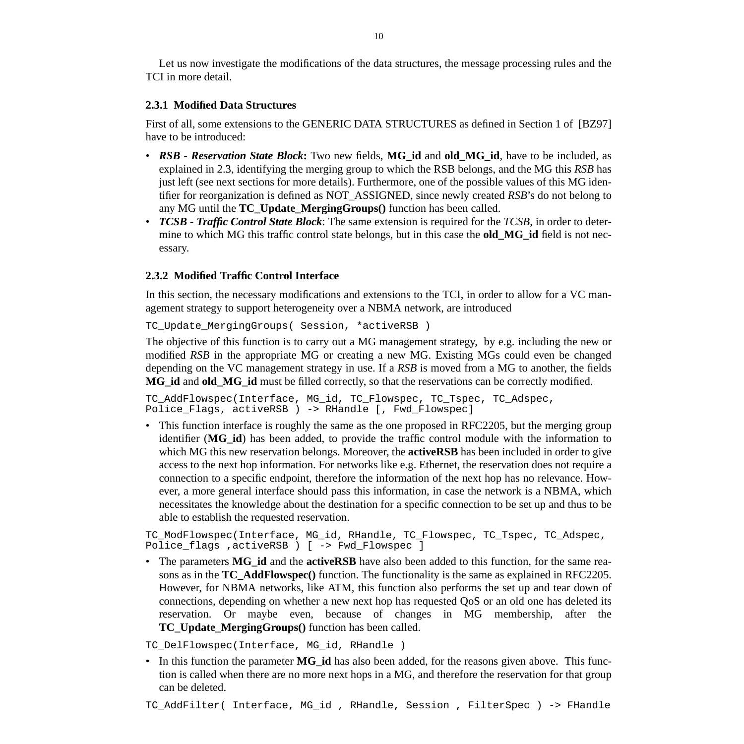Let us now investigate the modifications of the data structures, the message processing rules and the TCI in more detail.

#### **2.3.1 Modified Data Structures**

First of all, some extensions to the GENERIC DATA STRUCTURES as defined in Section 1 of [BZ97] have to be introduced:

- *RSB Reservation State Block***:** Two new fields, **MG\_id** and **old\_MG\_id**, have to be included, as explained in [2.3](#page-8-0), identifying the merging group to which the RSB belongs, and the MG this *RSB* has just left (see next sections for more details). Furthermore, one of the possible values of this MG identifier for reorganization is defined as NOT\_ASSIGNED, since newly created *RSB*'s do not belong to any MG until the **TC\_Update\_MergingGroups()** function has been called.
- *TCSB Traffic Control State Block*: The same extension is required for the *TCSB*, in order to determine to which MG this traffic control state belongs, but in this case the **old\_MG\_id** field is not necessary.

### **2.3.2 Modified Traffic Control Interface**

In this section, the necessary modifications and extensions to the TCI, in order to allow for a VC management strategy to support heterogeneity over a NBMA network, are introduced

TC\_Update\_MergingGroups( Session, \*activeRSB )

The objective of this function is to carry out a MG management strategy, by e.g. including the new or modified *RSB* in the appropriate MG or creating a new MG. Existing MGs could even be changed depending on the VC management strategy in use. If a *RSB* is moved from a MG to another, the fields **MG\_id** and **old\_MG\_id** must be filled correctly, so that the reservations can be correctly modified.

TC AddFlowspec(Interface, MG\_id, TC\_Flowspec, TC\_Tspec, TC\_Adspec, Police\_Flags, activeRSB ) -> RHandle [, Fwd\_Flowspec]

• This function interface is roughly the same as the one proposed in RFC2205, but the merging group identifier (**MG\_id**) has been added, to provide the traffic control module with the information to which MG this new reservation belongs. Moreover, the **activeRSB** has been included in order to give access to the next hop information. For networks like e.g. Ethernet, the reservation does not require a connection to a specific endpoint, therefore the information of the next hop has no relevance. However, a more general interface should pass this information, in case the network is a NBMA, which necessitates the knowledge about the destination for a specific connection to be set up and thus to be able to establish the requested reservation.

```
TC_ModFlowspec(Interface, MG_id, RHandle, TC_Flowspec, TC_Tspec, TC_Adspec,
Police_flags ,activeRSB ) [ -> Fwd_Flowspec ]
```
• The parameters **MG\_id** and the **activeRSB** have also been added to this function, for the same reasons as in the **TC\_AddFlowspec()** function. The functionality is the same as explained in RFC2205. However, for NBMA networks, like ATM, this function also performs the set up and tear down of connections, depending on whether a new next hop has requested QoS or an old one has deleted its reservation. Or maybe even, because of changes in MG membership, after the **TC\_Update\_MergingGroups()** function has been called.

TC\_DelFlowspec(Interface, MG\_id, RHandle )

• In this function the parameter **MG\_id** has also been added, for the reasons given above. This function is called when there are no more next hops in a MG, and therefore the reservation for that group can be deleted.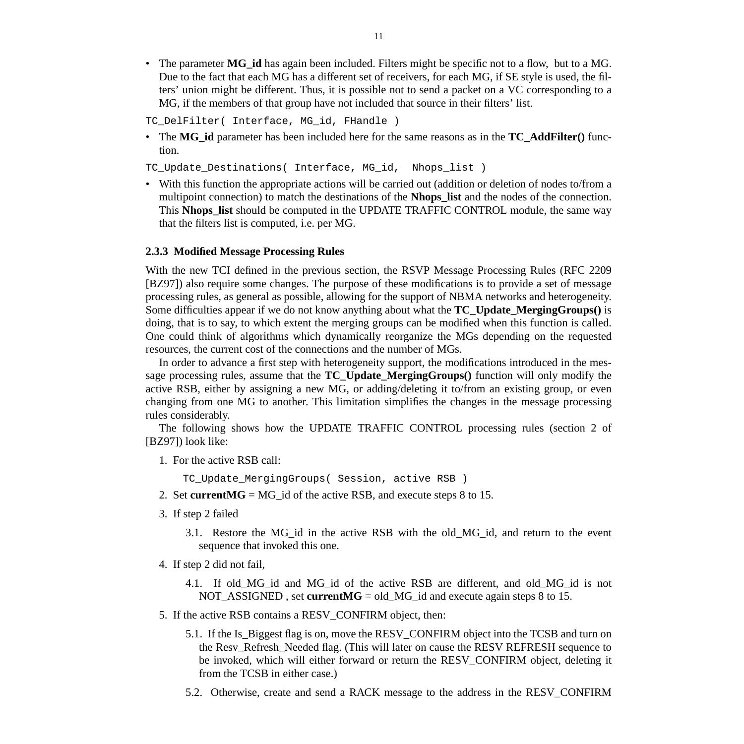• The parameter **MG\_id** has again been included. Filters might be specific not to a flow, but to a MG. Due to the fact that each MG has a different set of receivers, for each MG, if SE style is used, the filters' union might be different. Thus, it is possible not to send a packet on a VC corresponding to a MG, if the members of that group have not included that source in their filters' list.

TC DelFilter( Interface, MG id, FHandle )

• The **MG\_id** parameter has been included here for the same reasons as in the **TC\_AddFilter()** function.

TC Update Destinations( Interface, MG id, Nhops list )

• With this function the appropriate actions will be carried out (addition or deletion of nodes to/from a multipoint connection) to match the destinations of the **Nhops\_list** and the nodes of the connection. This **Nhops\_list** should be computed in the UPDATE TRAFFIC CONTROL module, the same way that the filters list is computed, i.e. per MG.

#### **2.3.3 Modified Message Processing Rules**

With the new TCI defined in the previous section, the RSVP Message Processing Rules (RFC 2209 [BZ97]) also require some changes. The purpose of these modifications is to provide a set of message processing rules, as general as possible, allowing for the support of NBMA networks and heterogeneity. Some difficulties appear if we do not know anything about what the **TC\_Update\_MergingGroups()** is doing, that is to say, to which extent the merging groups can be modified when this function is called. One could think of algorithms which dynamically reorganize the MGs depending on the requested resources, the current cost of the connections and the number of MGs.

In order to advance a first step with heterogeneity support, the modifications introduced in the message processing rules, assume that the **TC\_Update\_MergingGroups()** function will only modify the active RSB, either by assigning a new MG, or adding/deleting it to/from an existing group, or even changing from one MG to another. This limitation simplifies the changes in the message processing rules considerably.

The following shows how the UPDATE TRAFFIC CONTROL processing rules (section 2 of [BZ97]) look like:

1. For the active RSB call:

TC\_Update\_MergingGroups( Session, active RSB )

- 2[.](#page-13-0) Set current  $MG = MG$  id of the active RSB, and execute steps 8 [to](#page-12-0) 15.
- 3. If step 2 failed
	- 3.1. Restore the MG\_id in the active RSB with the old\_MG\_id, and return to the event sequence that invoked this one.
- 4. If step 2 did not fail,
	- 4.1. If old\_MG\_id and MG\_id of the active RSB are different, and old\_MG\_id is not NOT\_ASSIGNED , set **currentMG** = old\_MG\_id and execute again steps 8 t[o](#page-12-0) 15.
- 5. If the active RSB contains a RESV\_CONFIRM object, then:
	- 5.1. If the Is\_Biggest flag is on, move the RESV\_CONFIRM object into the TCSB and turn on the Resv\_Refresh\_Needed flag. (This will later on cause the RESV REFRESH sequence to be invoked, which will either forward or return the RESV\_CONFIRM object, deleting it from the TCSB in either case.)
	- 5.2. Otherwise, create and send a RACK message to the address in the RESV\_CONFIRM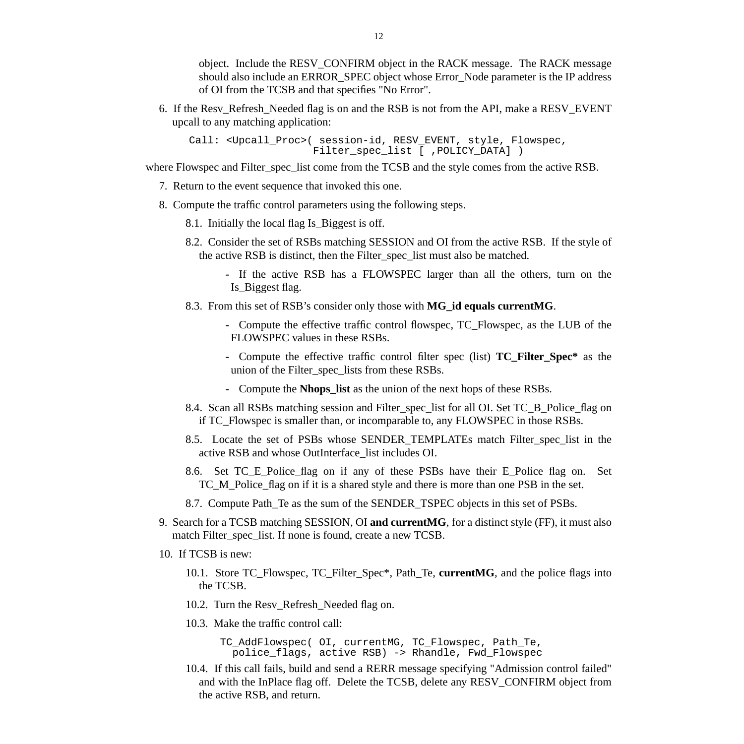<span id="page-12-0"></span>object. Include the RESV\_CONFIRM object in the RACK message. The RACK message should also include an ERROR\_SPEC object whose Error\_Node parameter is the IP address of OI from the TCSB and that specifies "No Error".

6. If the Resv\_Refresh\_Needed flag is on and the RSB is not from the API, make a RESV\_EVENT upcall to any matching application:

Call: <Upcall\_Proc>( session-id, RESV\_EVENT, style, Flowspec, Filter spec list [ ,POLICY DATA] )

where Flowspec and Filter spec list come from the TCSB and the style comes from the active RSB.

- 7. Return to the event sequence that invoked this one.
- 8. Compute the traffic control parameters using the following steps.
	- 8.1. Initially the local flag Is\_Biggest is off.
	- 8.2. Consider the set of RSBs matching SESSION and OI from the active RSB. If the style of the active RSB is distinct, then the Filter\_spec\_list must also be matched.
		- **-** If the active RSB has a FLOWSPEC larger than all the others, turn on the Is\_Biggest flag.
	- 8.3. From this set of RSB's consider only those with **MG\_id equals currentMG**.
		- **-** Compute the effective traffic control flowspec, TC\_Flowspec, as the LUB of the FLOWSPEC values in these RSBs.
		- **-** Compute the effective traffic control filter spec (list) **TC\_Filter\_Spec\*** as the union of the Filter\_spec\_lists from these RSBs.
		- **-** Compute the **Nhops\_list** as the union of the next hops of these RSBs.
	- 8.4. Scan all RSBs matching session and Filter\_spec\_list for all OI. Set TC\_B\_Police\_flag on if TC\_Flowspec is smaller than, or incomparable to, any FLOWSPEC in those RSBs.
	- 8.5. Locate the set of PSBs whose SENDER TEMPLATEs match Filter spec list in the active RSB and whose OutInterface\_list includes OI.
	- 8.6. Set TC\_E\_Police\_flag on if any of these PSBs have their E\_Police\_flag on. Set TC\_M\_Police\_flag on if it is a shared style and there is more than one PSB in the set.
	- 8.7. Compute Path\_Te as the sum of the SENDER\_TSPEC objects in this set of PSBs.
- 9. Search for a TCSB matching SESSION, OI **and currentMG**, for a distinct style (FF), it must also match Filter spec list. If none is found, create a new TCSB.
- 10. If TCSB is new:
	- 10.1. Store TC\_Flowspec, TC\_Filter\_Spec\*, Path\_Te, **currentMG**, and the police flags into the TCSB.
	- 10.2. Turn the Resv\_Refresh\_Needed flag on.
	- 10.3. Make the traffic control call:

TC\_AddFlowspec( OI, currentMG, TC\_Flowspec, Path\_Te, police\_flags, active RSB) -> Rhandle, Fwd\_Flowspec

10.4. If this call fails, build and send a RERR message specifying "Admission control failed" and with the InPlace flag off. Delete the TCSB, delete any RESV\_CONFIRM object from the active RSB, and return.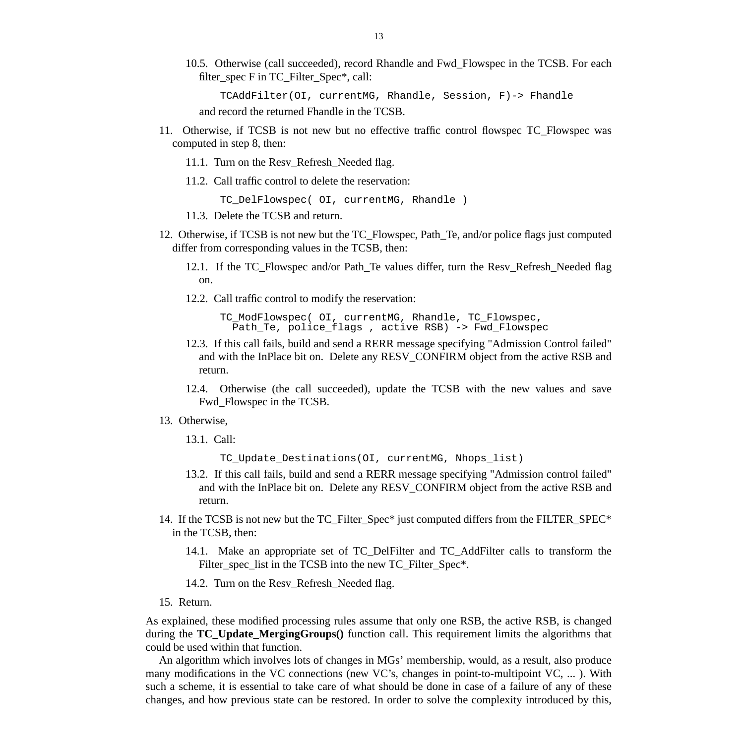<span id="page-13-0"></span>10.5. Otherwise (call succeeded), record Rhandle and Fwd\_Flowspec in the TCSB. For each filter\_spec F in TC\_Filter\_Spec\*, call:

TCAddFilter(OI, currentMG, Rhandle, Session, F)-> Fhandle

and record the returned Fhandle in the TCSB.

- 11. Otherwise, if TCSB is not new but no effective traffic control flowspec TC\_Flowspec was computed in step [8,](#page-12-0) then:
	- 11.1. Turn on the Resv\_Refresh\_Needed flag.
	- 11.2. Call traffic control to delete the reservation:

TC\_DelFlowspec( OI, currentMG, Rhandle )

- 11.3. Delete the TCSB and return.
- 12. Otherwise, if TCSB is not new but the TC\_Flowspec, Path\_Te, and/or police flags just computed differ from corresponding values in the TCSB, then:
	- 12.1. If the TC\_Flowspec and/or Path\_Te values differ, turn the Resv\_Refresh\_Needed flag on.
	- 12.2. Call traffic control to modify the reservation:

TC\_ModFlowspec( OI, currentMG, Rhandle, TC\_Flowspec, Path\_Te, police\_flags , active RSB) -> Fwd\_Flowspec

- 12.3. If this call fails, build and send a RERR message specifying "Admission Control failed" and with the InPlace bit on. Delete any RESV\_CONFIRM object from the active RSB and return.
- 12.4. Otherwise (the call succeeded), update the TCSB with the new values and save Fwd\_Flowspec in the TCSB.
- 13. Otherwise,
	- 13.1. Call:

TC\_Update\_Destinations(OI, currentMG, Nhops\_list)

- 13.2. If this call fails, build and send a RERR message specifying "Admission control failed" and with the InPlace bit on. Delete any RESV\_CONFIRM object from the active RSB and return.
- 14. If the TCSB is not new but the TC\_Filter\_Spec\* just computed differs from the FILTER\_SPEC\* in the TCSB, then:
	- 14.1. Make an appropriate set of TC\_DelFilter and TC\_AddFilter calls to transform the Filter spec list in the TCSB into the new TC Filter Spec<sup>\*</sup>.
	- 14.2. Turn on the Resv\_Refresh\_Needed flag.
- 15. Return.

As explained, these modified processing rules assume that only one RSB, the active RSB, is changed during the **TC\_Update\_MergingGroups()** function call. This requirement limits the algorithms that could be used within that function.

An algorithm which involves lots of changes in MGs' membership, would, as a result, also produce many modifications in the VC connections (new VC's, changes in point-to-multipoint VC, ... ). With such a scheme, it is essential to take care of what should be done in case of a failure of any of these changes, and how previous state can be restored. In order to solve the complexity introduced by this,